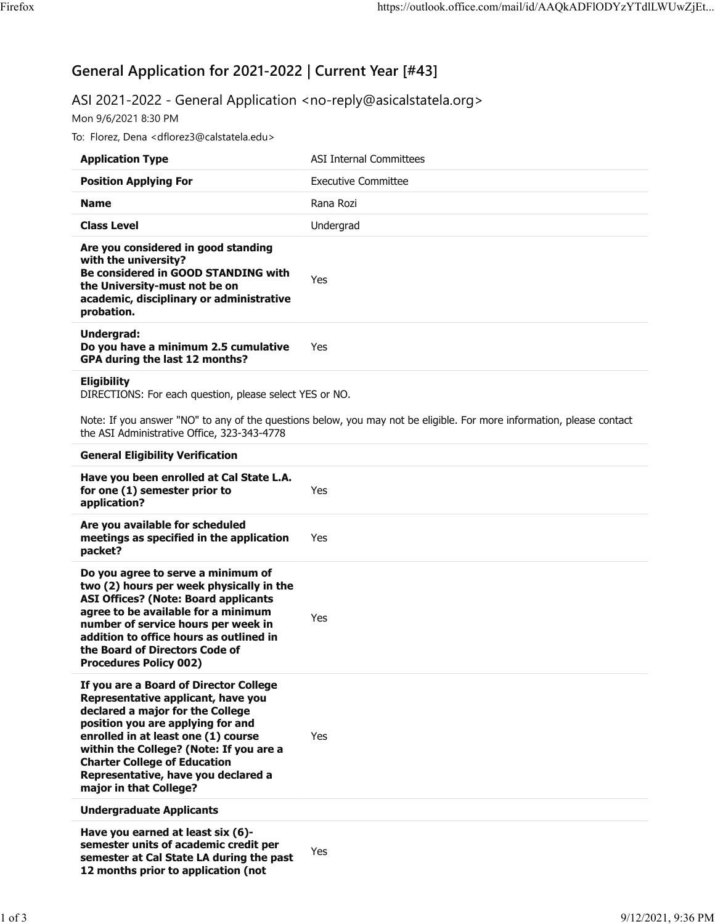# **General Application for 2021-2022 | Current Year [#43]**

## ASI 2021-2022 - General Application <no-reply@asicalstatela.org>

Mon 9/6/2021 8:30 PM

To: Florez, Dena <dflorez3@calstatela.edu>

| <b>Application Type</b>                                                                                                                                                                                                                                                                                                                         | <b>ASI Internal Committees</b>                                                                                        |
|-------------------------------------------------------------------------------------------------------------------------------------------------------------------------------------------------------------------------------------------------------------------------------------------------------------------------------------------------|-----------------------------------------------------------------------------------------------------------------------|
| <b>Position Applying For</b>                                                                                                                                                                                                                                                                                                                    | <b>Executive Committee</b>                                                                                            |
| <b>Name</b>                                                                                                                                                                                                                                                                                                                                     | Rana Rozi                                                                                                             |
| <b>Class Level</b>                                                                                                                                                                                                                                                                                                                              | Undergrad                                                                                                             |
| Are you considered in good standing<br>with the university?<br>Be considered in GOOD STANDING with<br>the University-must not be on<br>academic, disciplinary or administrative<br>probation.                                                                                                                                                   | Yes                                                                                                                   |
| Undergrad:<br>Do you have a minimum 2.5 cumulative<br>GPA during the last 12 months?                                                                                                                                                                                                                                                            | Yes                                                                                                                   |
| <b>Eligibility</b><br>DIRECTIONS: For each question, please select YES or NO.                                                                                                                                                                                                                                                                   |                                                                                                                       |
| the ASI Administrative Office, 323-343-4778                                                                                                                                                                                                                                                                                                     | Note: If you answer "NO" to any of the questions below, you may not be eligible. For more information, please contact |
| <b>General Eligibility Verification</b>                                                                                                                                                                                                                                                                                                         |                                                                                                                       |
| Have you been enrolled at Cal State L.A.<br>for one (1) semester prior to<br>application?                                                                                                                                                                                                                                                       | Yes                                                                                                                   |
| Are you available for scheduled<br>meetings as specified in the application<br>packet?                                                                                                                                                                                                                                                          | Yes                                                                                                                   |
| Do you agree to serve a minimum of<br>two (2) hours per week physically in the<br><b>ASI Offices? (Note: Board applicants</b><br>agree to be available for a minimum<br>number of service hours per week in<br>addition to office hours as outlined in<br>the Board of Directors Code of<br><b>Procedures Policy 002)</b>                       | Yes                                                                                                                   |
| If you are a Board of Director College<br>Representative applicant, have you<br>declared a major for the College<br>position you are applying for and<br>enrolled in at least one (1) course<br>within the College? (Note: If you are a<br><b>Charter College of Education</b><br>Representative, have you declared a<br>major in that College? | Yes                                                                                                                   |
| <b>Undergraduate Applicants</b>                                                                                                                                                                                                                                                                                                                 |                                                                                                                       |
| Have you earned at least six (6)-<br>semester units of academic credit per<br>semester at Cal State LA during the past<br>12 months prior to application (not                                                                                                                                                                                   | Yes                                                                                                                   |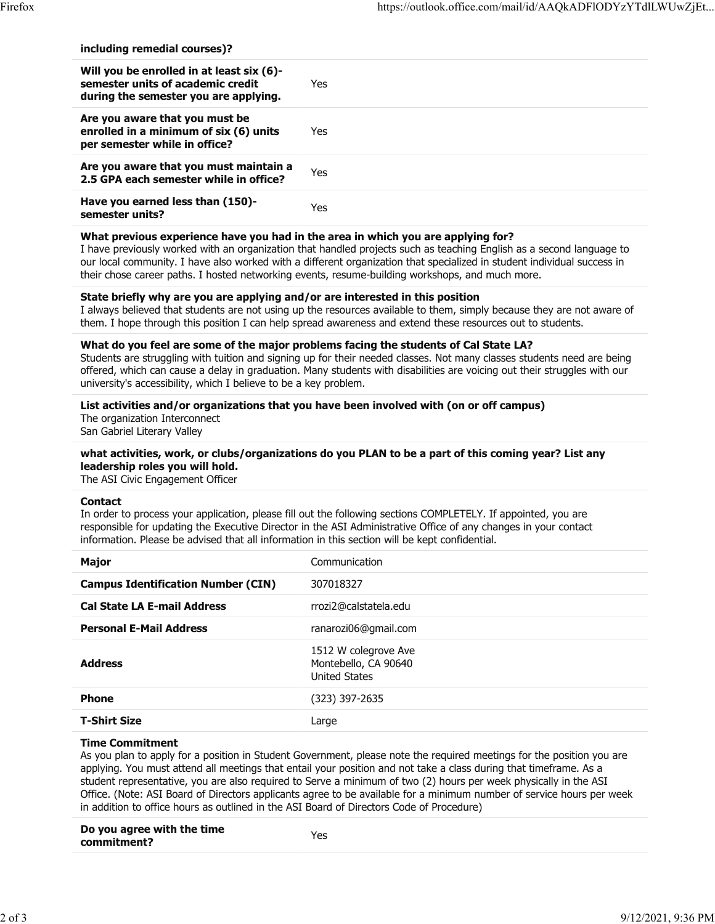| including remedial courses)? |  |  |
|------------------------------|--|--|
|                              |  |  |

| Will you be enrolled in at least six (6)-<br>semester units of academic credit<br>during the semester you are applying. | Yes. |
|-------------------------------------------------------------------------------------------------------------------------|------|
| Are you aware that you must be<br>enrolled in a minimum of six (6) units<br>per semester while in office?               | Yes. |
| Are you aware that you must maintain a<br>2.5 GPA each semester while in office?                                        | Yes. |
| Have you earned less than (150)-<br>semester units?                                                                     | Yes  |

#### **What previous experience have you had in the area in which you are applying for?**

I have previously worked with an organization that handled projects such as teaching English as a second language to our local community. I have also worked with a different organization that specialized in student individual success in their chose career paths. I hosted networking events, resume-building workshops, and much more.

### **State briefly why are you are applying and/or are interested in this position**

I always believed that students are not using up the resources available to them, simply because they are not aware of them. I hope through this position I can help spread awareness and extend these resources out to students.

#### **What do you feel are some of the major problems facing the students of Cal State LA?**

Students are struggling with tuition and signing up for their needed classes. Not many classes students need are being offered, which can cause a delay in graduation. Many students with disabilities are voicing out their struggles with our university's accessibility, which I believe to be a key problem.

### **List activities and/or organizations that you have been involved with (on or off campus)**

The organization Interconnect San Gabriel Literary Valley

#### **what activities, work, or clubs/organizations do you PLAN to be a part of this coming year? List any leadership roles you will hold.**

The ASI Civic Engagement Officer

#### **Contact**

In order to process your application, please fill out the following sections COMPLETELY. If appointed, you are responsible for updating the Executive Director in the ASI Administrative Office of any changes in your contact information. Please be advised that all information in this section will be kept confidential.

| <b>Major</b>                              | Communication                                                        |
|-------------------------------------------|----------------------------------------------------------------------|
| <b>Campus Identification Number (CIN)</b> | 307018327                                                            |
| <b>Cal State LA E-mail Address</b>        | rrozi2@calstatela.edu                                                |
| <b>Personal E-Mail Address</b>            | ranarozi06@gmail.com                                                 |
| <b>Address</b>                            | 1512 W colegrove Ave<br>Montebello, CA 90640<br><b>United States</b> |
| <b>Phone</b>                              | (323) 397-2635                                                       |
| <b>T-Shirt Size</b>                       | Large                                                                |

#### **Time Commitment**

As you plan to apply for a position in Student Government, please note the required meetings for the position you are applying. You must attend all meetings that entail your position and not take a class during that timeframe. As a student representative, you are also required to Serve a minimum of two (2) hours per week physically in the ASI Office. (Note: ASI Board of Directors applicants agree to be available for a minimum number of service hours per week in addition to office hours as outlined in the ASI Board of Directors Code of Procedure)

| Do you agree with the time | Yes |  |
|----------------------------|-----|--|
| commitment?                |     |  |